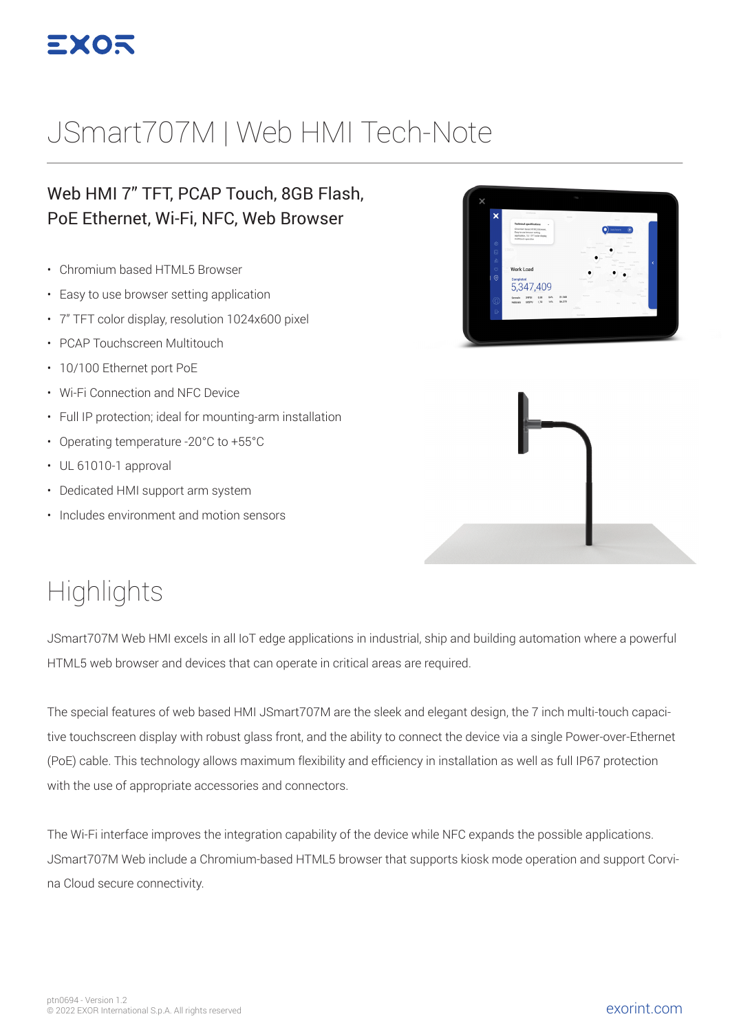

# JSmart707M | Web HMI Tech-Note

#### Web HMI 7" TFT, PCAP Touch, 8GB Flash, PoE Ethernet, Wi-Fi, NFC, Web Browser

- Chromium based HTML5 Browser
- Easy to use browser setting application
- 7" TFT color display, resolution 1024x600 pixel
- PCAP Touchscreen Multitouch
- 10/100 Ethernet port PoE
- Wi-Fi Connection and NFC Device
- Full IP protection; ideal for mounting-arm installation
- Operating temperature -20°C to +55°C
- UL 61010-1 approval
- Dedicated HMI support arm system
- Includes environment and motion sensors





### **Highlights**

JSmart707M Web HMI excels in all IoT edge applications in industrial, ship and building automation where a powerful HTML5 web browser and devices that can operate in critical areas are required.

The special features of web based HMI JSmart707M are the sleek and elegant design, the 7 inch multi-touch capacitive touchscreen display with robust glass front, and the ability to connect the device via a single Power-over-Ethernet (PoE) cable. This technology allows maximum flexibility and efficiency in installation as well as full IP67 protection with the use of appropriate accessories and connectors.

The Wi-Fi interface improves the integration capability of the device while NFC expands the possible applications. JSmart707M Web include a Chromium-based HTML5 browser that supports kiosk mode operation and support Corvina Cloud secure connectivity.